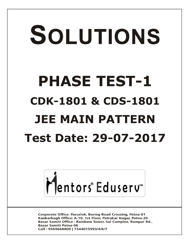# SOLUTIONS **PHASE TEST-1 CDK-1801 & CDS-1801 JEE MAIN PATTERNTest Date: 29-07-2017**



**Corporate Office: Paruslok, Boring Road Crossing, Patna-01** Kankarbagh Office: A-10, 1st Floor, Patrakar Nagar, Patna-20 Bazar Samiti Office: Rainbow Tower, Sai Complex, Rampur Rd., **Bazar Samiti Patna-06** Call: 9569668800 | 7544015993/4/6/7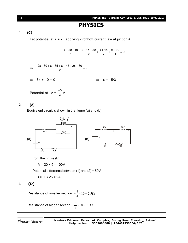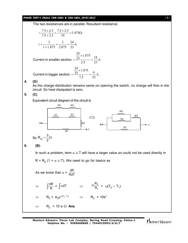#### **PHASE TEST-I (Main) CDK-1801 & CDS-1801\_29.07.2017** [ **3** ]

The two resistances are in parallel. Resultant resistance

$$
= \frac{7.5 \times 2.5}{7.5 + 2.5} = \frac{7.5 \times 2.5}{10} = 1.875\Omega
$$
  
\n
$$
i = \frac{3}{1 + 1.875} = \frac{3}{2.875} = \frac{24}{23} A
$$
  
\nCurrent in smaller section 
$$
= \frac{\frac{24}{23} \times 1.875}{2.5} = \frac{18}{23} A
$$
  
\nCurrent in bigger section 
$$
= \frac{\frac{24}{23} \times 1.875}{7.5} = \frac{6}{23} A
$$
.

**4. (D)**

As the charge distribution remains same on opening the switch, no charge will flow in the circuit. So heat dissipated is zero.

**5. (C)**

Equivalent circuit diagram of the circuit is



**Mentors Eduserv: Parus Lok Complex, Boring Road Crossing, Patna-1 Helpline No. : 9569668800 | 7544015993/4/6/7**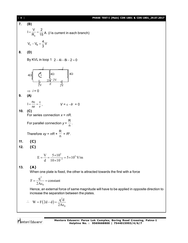**7. (B)** e  $I = \frac{V}{R} = \frac{2}{15}$  $=\frac{V}{R_e}=\frac{2}{15}A$  (*I* is current in each branch) C B  $V_{C} - V_{B} = \frac{4}{2}V$ 3  $-V_{\rm B} = -$ **8. (D)** By KVL in loop 1  $2 - 4i - 8i - 2 = 0$  $4\Omega \xi$   $\left\{1 \right.$   $\xi^{4\Omega}$   $\xi^{4\Omega}$ 2V  $2V$   $E$   $2V$ *i i* 2*i* 1  $\Rightarrow$  *i* = 0 **9. (A)**  $I = \frac{n}{n}$ nr r  $V = \frac{\pi}{2} = \frac{\epsilon}{2}$ ,  $V = \epsilon - Ir = 0$ **10. (C)** For series connection *x* = *nR*. For parallel connection *y* = R  $\frac{1}{n}$ . Therefore *xy* = *nR* × R  $\frac{1}{n}$  =  $R^2$ . **11. (C) 12. (C)**  $\frac{3}{2}$  = 5 \s 10<sup>5</sup>  $E = \frac{V}{d} = \frac{5 \times 10^3}{10 \times 10^{-3}} = 5 \times 10^5$  V/m  $d = 10 \times 10^{-7}$  $=\frac{V}{I}=\frac{5\times10^{3}}{10\times10^{-3}}=5\times1$  $\times$ **13. (A)** When one plate is fixed, the other is attracted towards the first with a force 2  $\boldsymbol{0}$  $F = \frac{q^2}{24}$  = constant 2A  $=\frac{9}{24}$  = 0  $\epsilon$ Hence, an external force of same magnitude will have to be applied in opposite direction to increase the separation between the plates.

[ **4** ] **PHASE TEST-I (Main) CDK-1801 & CDS-1801\_29.07.2017**

 $\therefore$  W = F(2d-d) 0  $W = F(2d-d) = \frac{q^2d}{2d}$ 2A  $\overline{\mathbf{c}}$  $= F(2d-d) = \epsilon$ 

Mentors<sup>®</sup> Eduserv<sup>®</sup>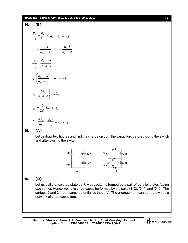#### **PHASE TEST-I (Main) CDK-1801 & CDS-1801\_29.07.2017** [ **5** ]

14. **(B)**  
\n
$$
\frac{q_1}{C_1} = \frac{q_2}{C_2} \; ; \; q_1 + q_2 = 2Q_0
$$
\n
$$
C_1 = \frac{\varepsilon_0 A}{d_0 + vt} \; ; \; C_2 = \frac{\varepsilon_0 A}{d_0 - vt}
$$
\n
$$
\frac{q_1}{q_2} = \frac{d_0 - vt}{d_0 + vt}
$$
\n
$$
q_2 \left( \frac{d_0 - vt}{d_0 + vt} \right) + q_2 = 2Q_0
$$
\n
$$
q_2 \left[ \frac{2d_0}{d_0 + vt} \right] = 2Q_0
$$
\n
$$
q_2 = \frac{2Q_0}{2d_0} (d_0 + vt)
$$
\n
$$
I = \frac{dq_2}{dt} = \frac{Q_0 v}{d_0} = 20 \text{ amp}
$$

**15. (A)**

Let us draw two figures and find the charge on both the capacitors before closing the switch and after closing the switch.



# **16. (D)**

Let us call the isolated plate as P. A capacitor is formed by a pair of parallel plates facing each other. Hence we have three capacitor formed by the pairs (1, 2), (3, 4) and (5, 6). The surface 2 and 3 are at same potential as that of A. The arrangement can be redrawn as a network of three capacitors.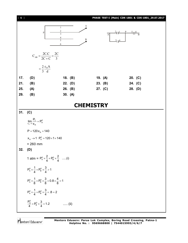| [6]              |                                                                                                                                                                                                                                                                                                                                                                                                                                                                                                             |         |  |         | PHASE TEST-I (Main) CDK-1801 & CDS-1801_29.07.2017 |  |  |  |
|------------------|-------------------------------------------------------------------------------------------------------------------------------------------------------------------------------------------------------------------------------------------------------------------------------------------------------------------------------------------------------------------------------------------------------------------------------------------------------------------------------------------------------------|---------|--|---------|----------------------------------------------------|--|--|--|
|                  | А<br>$\mathbf{1}$<br>$\overline{c}$<br>$\frac{2}{\frac{1}{\frac{1}{\sqrt{1}}} \cdot \frac{P}{P}}$   $\frac{5}{\sqrt{B}}$<br>$\, {\bf P}$<br>$\overline{3}$<br>$\overline{A}$<br>$\overline{4}$<br>Β<br>5<br>$\frac{3}{4}$<br>6                                                                                                                                                                                                                                                                              |         |  |         |                                                    |  |  |  |
|                  | $C_{AB} = \frac{2C.C}{2C+C} = \frac{2C}{3}$                                                                                                                                                                                                                                                                                                                                                                                                                                                                 |         |  |         |                                                    |  |  |  |
|                  | $=\frac{2}{3}\frac{\epsilon_0 A}{d}$                                                                                                                                                                                                                                                                                                                                                                                                                                                                        |         |  |         |                                                    |  |  |  |
| 17.              | (D)                                                                                                                                                                                                                                                                                                                                                                                                                                                                                                         | 18. (B) |  | 19. (A) | 20. (C)                                            |  |  |  |
| 21.              | (B)                                                                                                                                                                                                                                                                                                                                                                                                                                                                                                         | 22. (D) |  | 23. (B) | 24. (C)                                            |  |  |  |
| 25.              | (A)                                                                                                                                                                                                                                                                                                                                                                                                                                                                                                         | 26. (B) |  | 27. (C) | 28. (D)                                            |  |  |  |
| 29.              | (B)                                                                                                                                                                                                                                                                                                                                                                                                                                                                                                         | 30. (A) |  |         |                                                    |  |  |  |
| <b>CHEMISTRY</b> |                                                                                                                                                                                                                                                                                                                                                                                                                                                                                                             |         |  |         |                                                    |  |  |  |
| 31.              | (C)                                                                                                                                                                                                                                                                                                                                                                                                                                                                                                         |         |  |         |                                                    |  |  |  |
| 32.              | $\lim_{x_A \to 1} \frac{P_T}{x_A} = P_A^0$<br>$P = 120 x_A + 140$<br>$x_A \rightarrow 1$ $P_A^0 = 120 \times 1 + 140$<br>$= 260$ mm<br>(D)<br>1 atm = $P_A^0 \times \frac{2}{4} + P_B^0 \times \frac{2}{4}$ (i)<br>$P_A^0 \times \frac{1}{4} + P_B^0 \times \frac{3}{4} > 1$<br>$P_A^0 \times \frac{1}{8} + P_B^0 \times \frac{3}{8} + 0.8 \times \frac{4}{8} = 1$<br>$P_A^0 \times \frac{1}{4} + P_B^0 \times \frac{3}{4} + .8 = 2$<br>$\frac{P_A^0}{4} + P_B^0 \times \frac{3}{4} = 1.2$<br>$\cdots$ (ii) |         |  |         |                                                    |  |  |  |
|                  |                                                                                                                                                                                                                                                                                                                                                                                                                                                                                                             |         |  |         |                                                    |  |  |  |

Mentors<sup>®</sup> Eduserv<sup>®</sup>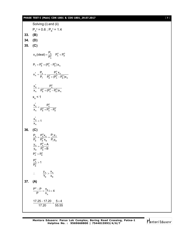## **PHASE TEST-I (Main) CDK-1801 & CDS-1801\_29.07.2017** [ **7** ]

|         | Solving (i) and (ii)                                                                                                                                       |
|---------|------------------------------------------------------------------------------------------------------------------------------------------------------------|
|         | $P_{A}^{\circ} = 0.6$ ; $P_{B}^{\circ} = 1.4$                                                                                                              |
| 33.     | (B)                                                                                                                                                        |
| 34. (D) |                                                                                                                                                            |
|         | 35. (C)                                                                                                                                                    |
|         | $x_{A}$ (ideal) = $\frac{P_{A}}{P_{A}^{0}}$ $P_{A}^{0}$ < $P_{B}^{0}$                                                                                      |
|         | $P_T = P_R^0 + (P_A^0 - P_R^0)x_A$                                                                                                                         |
|         | $X'_A = \frac{P_A}{P_T} = \frac{P_A^0 X_A}{P_B^0 + (P_A^0 - P_B^0)X_A}$                                                                                    |
|         | $\frac{x'_{A}}{x_{A}} = \frac{P_{A}^{0}}{P_{B}^{0} + (P_{A}^{0} - P_{B}^{0})x_{A}}$                                                                        |
|         | $x_{\rm A}$ < 1                                                                                                                                            |
|         | $\frac{x_{A}^{'}}{x_{A}} < \frac{P_{A}^{0}}{P_{B}^{0} + P_{A}^{0} - P_{B}^{0}}$                                                                            |
|         | $\frac{\mathsf{x}_{\mathsf{A}}^{\prime}}{\mathsf{x}_{\mathsf{A}}}$ < 1                                                                                     |
| 36.     | (C)                                                                                                                                                        |
|         | $\frac{P_{A}}{P_{B}} = \frac{P_{A}^{0}x_{A}}{P_{B}^{0}x_{B}} = \frac{P_{y}y_{A}}{P_{7}y_{B}}$<br>$\frac{y_A}{y_B} = \frac{P_A^0 \times A}{P_B^0 \times B}$ |
|         | $P_{A}^{0} > P_{B}^{0}$                                                                                                                                    |
|         | $\frac{P_{A}^{0}}{P_{2}^{0}} > 1$                                                                                                                          |
|         | $\frac{y_A}{Y_B} > \frac{x_A}{x_B}$<br>$\therefore$                                                                                                        |
| 37.     | (A)                                                                                                                                                        |
|         | $\frac{P^0 - P}{P} = \frac{n_B}{n_A} i = 4$                                                                                                                |
|         | $\frac{17.25-17.20}{17.20} = \frac{5\times4}{55.55}$                                                                                                       |

$$
\bigg| \bigg| \bigg| \text{entors}^* \text{Eduser} \big|
$$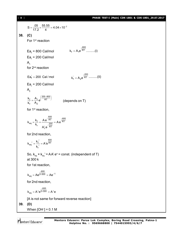[ **8** ] **PHASE TEST-I (Main) CDK-1801 & CDS-1801\_29.07.2017**  $S = \frac{.05}{17.2} \times \frac{55.55}{4} = 4.04 \times 10^{-2}$  $=\frac{.03}{17.8} \times \frac{.000}{14} = 4.04 \times 10^{-7}$ **38. (C)** For 1<sup>st</sup> reaction Ea<sub>f</sub> = 800 Cal/mol 800  $k_f = A_1 e^{RT} \dots (i)$ - $=$ Ea<sub>r</sub> = 200 Cal/mol  $A<sub>1</sub>$ for 2nd reaction  $\text{Ea}_{\text{f}}^{\text{'} } = 200 \text{ Cal/mol}$  $k_1 = A_2 e^{\frac{-200}{RT}}$ - $A_2e^{\overline{RT}}$  .........(ii) Ea<sub>r</sub> = 200 Cal/mol  $A^{\prime}$ 200–800  $\frac{f}{f} = \frac{H_1}{A_2} e^{x}$  RT  $\frac{k_f}{k_f} = \frac{A_1}{A_2}e$  $=\frac{A_1}{\Lambda}e^{\left(\frac{200-800}{RT}\right)}$  (depends on T) for 1<sup>st</sup> reaction,  $_{eq} = \frac{k_f}{k_r} = \frac{Ae^{-\frac{800}{RT}}}{A'_1e^{-\frac{200}{RT}}} = Ae^{\frac{-600}{RT}}$  $k_{eq} = \frac{k_f}{k_r} = \frac{A e^{-RT}}{1.18 \times 10^{-2} \text{m/s}} = Ae^{-\frac{E}{kT}}$  $A'_1e$  $-\frac{1}{RT}$  - $=\frac{R_{\rm f}}{R_{\rm r}}=\frac{780}{1.00}=\frac{200}{25}$ '<br>1 for 2nd reaction, 600  $_{\text{eq}}' = \frac{R_f}{R} = A' e^{RT}$ r  $k_{eq}^{\prime} = \frac{k_f^{\prime}}{4} = A'e^{\prime}$ k  $v' = \frac{k'_f'}{i} = A'$  $\overline{\phantom{a}}$ So,  $\rm{k}_{_{eq}}\times\rm{k}_{_{eq}}$ ' = AA' e $^{\rm{o}}$  = const. (independent of T) at 300 k for 1st reaction,  $k_{eq} = Ae^{\frac{-600}{2 \times 300}} = Ae^{-1}$ = Ae<sup> $\frac{-600}{2 \times 300}$ </sup> = Ae<sup>-</sup> for 2nd reaction, 600  $k_{eq} = A' e^{2 \times 300} = A' e$ - $=$  A'e<sup>2×300</sup> =  $\mu$ [A is not same for forward reverse reaction] **39. (D)** When [OH– ] = 0.1 M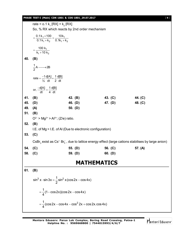#### **PHASE TEST-I (Main) CDK-1801 & CDS-1801\_29.07.2017** [ **9** ]

rate =  $0.1 \text{ k}_1 \text{[RX]} + \text{k}_2 \text{[RX]}$ So, % RX which reacts by 2nd order mechanism  $1^{\times}$  100  $_{-}$  10N<sub>1</sub>  $1 + n_2$  0.  $n_1 + n_2$ 0.1k<sub>1</sub>×100 10k  $0.1 k_1 + k_2$   $0.1 k_1 + k_2$  $=\frac{0.1 k_1 \times 100}{0.1 k_1 + k_2} = \frac{10 k_1}{0.1 k_1 + k_2}$ 1  $1 + 10n_2$ 100 $k_1$  $=\frac{188R_1}{k_1+10 k_2}$ **40. (B)**  $\frac{1}{2}$ A  $\longrightarrow$  2B rate  $= \frac{-1}{\frac{1}{2}} \frac{d[A]}{dt} = \frac{1}{2} \frac{d[B]}{dt}$  $=\frac{-1}{16}$  d[A]  $=$ or,  $\frac{-d[A]}{dt} = \frac{1}{4} \frac{d[B]}{dt}$  $\frac{-d[A]}{dA} =$ **41. (B) 42. (B) 43. (C) 44. (C) 45. (D) 46. (D) 47. (D) 48. (C) 49. (A) 50. (D) 51. (B)**  $O^{2-}$  > Mg<sup>2+</sup> > Al<sup>3+</sup>; (Z/e) ratio. **52. (B)** I.E. of Mg > I.E. of Al (Due to electronic configuration) **53. (C)**  ${\sf CsBr}_3$  exist as Cs $^*$  Br $_3^-$ , due to lattice energy effect (large cations stabilises by large anion) **54. (C) 55. (D) 56. (C) 57. (A) 58. (C) 59. (D) 60. (D) MATHEMATICS 61. (B)**  $\sin^3 x \cdot \sin 3x = \frac{1}{6} \sin^2 x (\cos 2x - \cos 4x)$ 2  $\cdot$  sin 3x =  $\frac{1}{6}$  sin<sup>2</sup> x (cos 2x – o  $\frac{1}{1}$ (1 – cos 2x)(cos 2x – cos 4x) 4  $= -(1 - \cos 2x)(\cos 2x - \cos 2x)$  $\frac{1}{2}$ (cos 2x – cos 4x – cos $^2$  2x + cos 2x.cos 4x) 4  $=\frac{1}{4}$ (cos 2x – cos 4x – cos <sup>2</sup> 2x + 0

Mentors<sup>®</sup> Eduserv<sup>®</sup>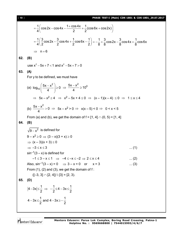$$
= \frac{1}{4} \Big( \cos 2x - \cos 4x - \frac{1 + \cos 4x}{2} + \frac{1}{2} (\cos 6x + \cos 2x) \Big)
$$
  
\n
$$
= \frac{1}{4} \Big( \frac{3}{2} \cos 2x - \frac{3}{2} \cos 4x + \frac{1}{2} \cos 6x - \frac{1}{2} \Big) = -\frac{1}{8} + \frac{3}{8} \cos 2x - \frac{3}{8} \cos 4x + \frac{1}{8} \cos 6x
$$
  
\n⇒ n = 6  
\n62. (B)  
\nuse x<sup>2</sup> - 5x + 7 < 1 and x<sup>2</sup> - 5x + 7 > 0  
\n63. (A)  
\nFor y to be defined, we must have  
\n(a) log<sub>10</sub>  $\Big( \frac{5x - x^2}{4} \Big) \ge 0 \Rightarrow \frac{5x - x^2}{4} \ge 10^0$   
\n⇒ 5x - x<sup>2</sup> ≥ 4 ⇒ x<sup>2</sup> - 5x + 4 ≤ 0 ⇒ (x - 1)(x - 4) ≤ 0 ⇒ 1 ≤ x ≤ 4  
\n(b)  $\frac{5x - x^2}{4} > 0 \Rightarrow 5x - x^2 > 0 \Rightarrow x(x - 5) < 0 \Rightarrow 0 < x < 5$   
\nFrom (a) and (b), we get the domain of f = [1, 4] ∩ (0, 5) = [1, 4]  
\n64. (B)  
\n $\sqrt{9 - x^2}$  is defined for  
\n $9 - x^2 \ge 0 \Rightarrow (3 - x)(3 + x) \ge 0$   
\n⇒ (x - 3)(x + 3) ≤ 0  
\n⇒ (x - 3)(x + 3) ≤ 0  
\n⇒ (x - 3)(x + 3) ≤ 0  
\n⇒ -3 ≤ x ≤ 3  
\nsin<sup>-1</sup>(3 - x) is defined for  
\n $-1 \le 3 - x \le 1 \Rightarrow -4 \le -x \le -2 \Rightarrow 2 \le x \le 4$  .... (2)  
\nAlso, sin<sup>-1</sup>(3 - x) = 0 ⇒ 3 - x = 0 or x = 3 .... (3)  
\nFrom (1), (2) and (3), we get the domain of f:  
\n([-3, 3] ∩ [2, 4]) \{3\} = [2, 3).

Mentors<sup>e</sup> Eduserv<sup>-</sup>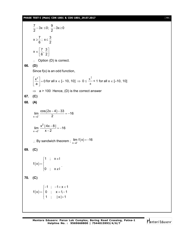#### **PHASE TEST-I (Main) CDK-1801 & CDS-1801\_29.07.2017** [ **11** ]

 $\frac{7}{8}$  – 3x  $\leq$  0;  $\frac{9}{8}$  – 3x  $\geq$  0 2  $2$  $-3x \le 0$ ;  $\frac{3}{2} - 3x \ge 0$  $x \ge \frac{7}{6}$ ;  $x \le \frac{3}{6}$  $6^{\degree}$  2 ≥–; x≤ ·  $x \in \left[\frac{7}{2}, \frac{3}{2}\right]$  $6^{\degree}$  2  $\in \left[\frac{7}{6},\frac{3}{2}\right]$  $\therefore$  Option (D) is correct. **66. (D)** Since f(x) is an odd function,  $\left| \frac{x^2}{2} \right| = 0$ a  $\left|\frac{x^2}{2}\right| =$ [ a ] for all x  $\in$  [– 10, 10]  $\Rightarrow$  0  $\leq \frac{\pi}{a}$  $x^2$  $<$  1 for all  $x \in [-10, 10]$  $\Rightarrow$  a > 100 Hence, (D) is the correct answer **67. (C) 68. (A)**  $(2x-4)$  $x \rightarrow 2^ \lim \frac{\cos(2x-4)-33}{6} = -16$  $\rightarrow 2^-$  2  $\frac{-4)-33}{2} = -1$ 2  $x \rightarrow 2$  $\lim \frac{x^2 |4x-8|}{2} = -16$  $\rightarrow 2^ x-2$  $\frac{-81}{2} = -1$ - $\therefore$  By sandwich theorem ;  $\lim_{x\to 2^-} f(x)$ lim  $f(x) = -16$  $\rightarrow 2^{-}$  $=-1$ **69. (C)**  $(\mathsf{x})$ 1 ;  $x \in I$  $f(x)$ 0 ;  $x \notin I$  $\begin{bmatrix} 1 \\ \end{bmatrix}$  ;  $x \in$  $=\left\{$  $\begin{pmatrix} 0 & ; & x \end{pmatrix}$  . **70. (C)**  $(\mathsf{x})$ 1 ;  $-1 < x < 1$  $f(x) = \{ 0 ; x = 1, -1$ 1 ;  $|x| > 1$  $\begin{bmatrix} -1 \\ 0 \\ -1 \end{bmatrix}$  = 1< x < 1  $=\begin{cases} 0 & ; \quad x=1,-1 \end{cases}$  $\begin{vmatrix} 1 & ; & |x| \end{vmatrix}$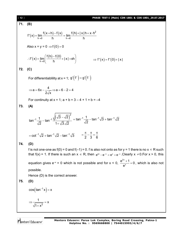PIASE TEST-I (Main) COK-1801 & OOK-1801, 207,2017  
\n
$$
f'(x) = \lim_{h\to 0} \frac{f(x+h)-f(x)}{h} = \lim_{h\to 0} \frac{f(h)+|x|h+x+h^2}{h}
$$
\nAlso  $x = y = 0 \Rightarrow f(0) = 0$   
\n
$$
\therefore f'(x) = \lim_{h\to 0} \left( \frac{f(h)-f(0)}{h} + |x|+xh \right) \Rightarrow f'(x) = f'(0)+|x|
$$
\n72. (C)  
\nFor differentiability at  $x = 1$ ;  $g'(f^+) = g'(f^-)$   
\n
$$
\Rightarrow a = 6x - \frac{4}{2\sqrt{x}} \Rightarrow a = 6 - 2 = 4
$$
\nFor continuity at  $x = 1$ ;  $a + b = 3 - 4 + 1 = b = -4$   
\n73. (A)  
\n
$$
\tan^{-1} \frac{1}{\sqrt{2}} - \tan^{-1} \frac{\sqrt{(\sqrt{3}-\sqrt{2})^2}}{1+\sqrt{3}\sqrt{2}} = \tan^{-1} \frac{1}{\sqrt{2}} - \tan^{-1} \sqrt{3} + \tan^{-1} \sqrt{2}
$$
\n
$$
= \cot^{-1} \sqrt{2} + \tan^{-1} \sqrt{2} - \tan^{-1} \sqrt{3} = \frac{\pi}{2} - \frac{\pi}{3} = \frac{\pi}{6}
$$
\n74. (D)  
\nIf is not one-one as  $f(0) = 0$  and  $f(-1) = 0$ . *f* is also not onto as for  $y = 1$  there is no  $x \in R$  such that  $f(x) = 1$ . If there is such an  $x \in R$ , then  $e^M - e^{-x} = e^x + e^{-x}$ . Clearly  $x \ne 0$ . For  $x > 0$ , this equation gives  $e^{-x} = 0$  which is not possible and for  $x < 0$ ,  $\frac{e^{2x} + 1}{e^{x}} = 0$ , which is also not possible.  
\nHence (D) is the correct answer.  
\n75. (D)  
\n
$$
\cos(\tan^{-1} x) = x
$$

Mentors<sup>®</sup> Eduserv<sup>®</sup>

2

 $1 + x^2$ 

 $^{+}$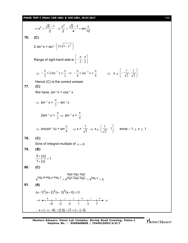### **PHASE TEST-I (Main) CDK-1801 & CDS-1801\_29.07.2017** [ **13** ]

3. 
$$
x^2 = \frac{\sqrt{5}-1}{2} \Rightarrow \frac{x^2}{2} = \frac{\sqrt{5}-1}{4} = \sin \frac{\pi}{10}
$$
  
\n76. (C)  
\n2 sin<sup>-1</sup>x = sin<sup>-1</sup> (2x\sqrt{1-x^2})  
\nRange of right hand side is  $\left[-\frac{\pi}{2}, \frac{\pi}{2}\right]$   
\n $\Rightarrow -\frac{\pi}{2} \le 2 \sin^{-1} x \le \frac{\pi}{2} \Rightarrow -\frac{\pi}{4} \le \sin^{-1} x \le \frac{\pi}{4} \Rightarrow x \in \left[-\frac{1}{\sqrt{2}}, \frac{1}{\sqrt{2}}\right]$ .  
\nHence (C) is the correct answer.  
\n77. (C)  
\nWe have, sin<sup>-1</sup>x > cos<sup>-1</sup>x  
\n $\Rightarrow \sin^{-1} x > \frac{\pi}{2} - \sin^{-1} x$   
\n $2 \sin^{-1} x > \frac{\pi}{2} \Rightarrow \sin^{-1} x > \frac{\pi}{4}$ .  
\n $\Rightarrow \sin(\sin^{-1} x) > \sin \frac{\pi}{4} \Rightarrow x > \frac{1}{\sqrt{2}} \Rightarrow x \in \left(\frac{1}{\sqrt{2}}, 1\right)$  since -1 ≤ x ≤ 1  
\n78. (C)  
\nSine of integral multiple of  $\pi = 0$   
\n79. (B)  
\n $\left|1 + \frac{x}{x}\right| = 1$   
\n80. (C)  
\n $\left|1 + \frac{x}{x}\right| = 1$   
\n80. (C)  
\n $\left|1 + \frac{x}{x}\right| = 1$   
\n81. (A)  
\n $(x-1)^3(x+2)^4(x-3)^5(x+6) \ge 0$   
\n $\left|1, \frac{x}{3} - \frac{1}{x}\right| = \frac{1}{x} - \frac{1}{x} + \frac{1}{x} + \frac{1}{x} + \frac{1}{x}$   
\n $\therefore x \in (-\infty, -6] \cup [1,3] \cup (7, \infty) \cup \{-2\}$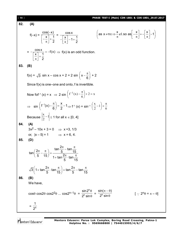| $[14]$ | PHASE TEST-I (Main) CDK-1801 & CDS-1801_29.07.2017                                                                                                                                                                                                                                               |
|--------|--------------------------------------------------------------------------------------------------------------------------------------------------------------------------------------------------------------------------------------------------------------------------------------------------|
| 82.    | (A)                                                                                                                                                                                                                                                                                              |
|        | $\left(\text{as } x \neq n\pi \Rightarrow \frac{x}{\pi} \notin I, \text{ so as } \left  \frac{x}{\pi} \right  = -\left  \frac{x}{\pi} \right  - 1\right)$<br>$f(-x) = \frac{\cos(-x)}{\left[-\frac{x}{\pi}\right] + \frac{1}{2}} = \frac{\cos x}{-\left[\frac{x}{\pi}\right] - 1 + \frac{1}{2}}$ |
|        | $= -\frac{\cos \pi}{\left[\frac{x}{\pi}\right] + \frac{1}{2}} = -f(x) \Rightarrow f(x)$ is an odd function.                                                                                                                                                                                      |
| 83.    | (B)                                                                                                                                                                                                                                                                                              |
|        | $f(x) = \sqrt{3} \sin x - \cos x + 2 = 2 \sin \left( x - \frac{\pi}{6} \right) + 2$                                                                                                                                                                                                              |
|        | Since $f(x)$ is one-one and onto, f is invertible.                                                                                                                                                                                                                                               |
|        | Now for $f(x) = x \implies 2 \sin \left( f^{-1}(x) - \frac{\pi}{6} \right) + 2 = x$                                                                                                                                                                                                              |
|        | $\Rightarrow \sin\left(f^{-1}(x) - \frac{\pi}{6}\right) = \frac{x}{2} - 1 \Rightarrow f^{-1}(x) = \sin^{-1}\left(\frac{x}{2} - 1\right) + \frac{\pi}{6}$                                                                                                                                         |
|        | Because $\left \frac{x}{2}-1\right  \leq 1$ for all $x \in [0, 4]$                                                                                                                                                                                                                               |
| 84.    | (A)<br>$3x^2 - 10x + 3 = 0$ $\implies$ x =3, 1/3                                                                                                                                                                                                                                                 |
|        | or, $ x-5  = 1$ $\implies$ $x = 6, 4$ .                                                                                                                                                                                                                                                          |
| 85.    | (D)                                                                                                                                                                                                                                                                                              |
|        | $\tan\left(\frac{2\pi}{5} - \frac{\pi}{15}\right) = \frac{\tan\frac{2\pi}{5} - \tan\frac{\pi}{15}}{1 + \tan\frac{2\pi}{5} \cdot \tan\frac{\pi}{15}}$                                                                                                                                             |
|        | $\sqrt{3}\left(1+\tan\frac{2\pi}{5}\cdot\tan\frac{\pi}{15}\right)=\tan\frac{2\pi}{5}-\tan\frac{\pi}{15}$                                                                                                                                                                                         |
| 86.    | (B)<br>We have,                                                                                                                                                                                                                                                                                  |
|        | $\cos\theta \cos 2\theta \cos 2^2\theta \dots \cos 2^{n-1}\theta = \frac{\sin 2^n \theta}{2^n \sin \theta} = \frac{\sin(\pi - \theta)}{2^n \sin \theta}$<br>[ $\therefore$ 2 <sup>n</sup> $\theta$ = $\pi - \theta$ ]                                                                            |
|        | $=\frac{1}{2^n}$                                                                                                                                                                                                                                                                                 |

Mentors<sup>e</sup> Eduserv<sup>-</sup>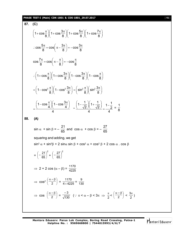# **PHASE TEST-I (Main) CDK-1801 & CDS-1801\_29.07.2017** [ **15** ]

87. (C)  
\n
$$
\left(1+\cos\frac{\pi}{8}\right)\left(1+\cos\frac{3\pi}{8}\right)\left(1+\cos\frac{5\pi}{8}\right)\left(1+\cos\frac{7\pi}{8}\right)
$$
\n
$$
\therefore \cos\frac{5\pi}{8} = \cos\left(\pi - \frac{3\pi}{8}\right) = -\cos\frac{3\pi}{8}
$$
\n
$$
\cos\frac{7\pi}{8} = \cos\left(\pi - \frac{\pi}{8}\right) = -\cos\frac{\pi}{8}
$$
\n
$$
\therefore \left(1+\cos\frac{\pi}{8}\right)\left(1+\cos\frac{3\pi}{8}\right)\left(1-\cos\frac{3\pi}{8}\right)\left(1-\cos\frac{\pi}{8}\right)
$$
\n
$$
= \left(1-\cos^2\frac{\pi}{8}\right)\left(1-\cos^2\frac{3\pi}{8}\right) = \left(\sin^2\frac{\pi}{8}\right)\left(\sin^2\frac{3\pi}{8}\right)
$$
\n
$$
= \frac{\left(1-\cos\frac{\pi}{4}\right)\left(1-\cos\frac{3\pi}{4}\right)}{4} = \frac{\left(1-\frac{1}{\sqrt{2}}\right)\left(1+\frac{1}{\sqrt{2}}\right)}{4} = \frac{1-\frac{1}{2}}{4} = \frac{1}{8}
$$
\n88. (A)  
\n
$$
\sin\alpha + \sin\beta = -\frac{21}{65} \text{ and } \cos\alpha + \cos\beta = -\frac{27}{65}
$$
\nsquaring and adding, we get  
\n
$$
\sin^2\alpha + \sin^2\beta + 2\sin\alpha\sin\beta + \cos^2\alpha + \cos^2\beta + 2\cos\alpha \cdot \cos\beta
$$
\n
$$
= \left(-\frac{21}{65}\right)^2 + \left(-\frac{27}{65}\right)^2
$$
\n
$$
\Rightarrow 2 + 2\cos\left(\alpha - \beta\right) = \frac{1170}{4 \times 4225} = \frac{9}{130}
$$
\n
$$
\Rightarrow \cos\left(\frac{\alpha - \beta}{2}\right) = \frac{-3}{\sqrt{130}} \quad (\because \pi < \alpha - \beta < 3\pi \Rightarrow \frac{\pi}{2} < \left(\frac{\alpha - \beta}{2}\right) < \frac{3\pi}{2})
$$

Mentors<sup>e</sup> Eduserv<sup>-</sup>